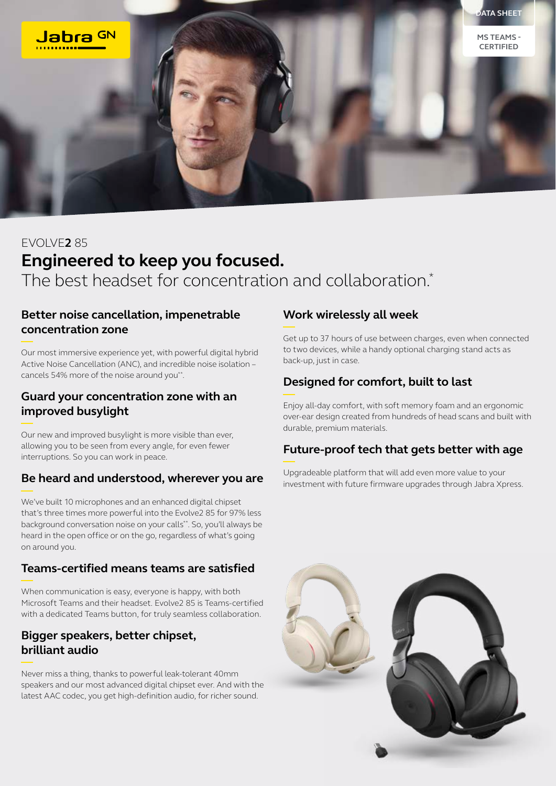

# EVOLVE**2** 85 **Engineered to keep you focused.** The best headset for concentration and collaboration.<sup>\*</sup>

#### **Better noise cancellation, impenetrable concentration zone**

Our most immersive experience yet, with powerful digital hybrid Active Noise Cancellation (ANC), and incredible noise isolation – cancels 54% more of the noise around you\*\*.

#### **Guard your concentration zone with an improved busylight**

Our new and improved busylight is more visible than ever, allowing you to be seen from every angle, for even fewer interruptions. So you can work in peace.

## **Be heard and understood, wherever you are**

We've built 10 microphones and an enhanced digital chipset that's three times more powerful into the Evolve2 85 for 97% less background conversation noise on your calls\*\*. So, you'll always be heard in the open office or on the go, regardless of what's going on around you.

#### **Teams-certified means teams are satisfied**

When communication is easy, everyone is happy, with both Microsoft Teams and their headset. Evolve2 85 is Teams-certified with a dedicated Teams button, for truly seamless collaboration.

#### **Bigger speakers, better chipset, brilliant audio**

Never miss a thing, thanks to powerful leak-tolerant 40mm speakers and our most advanced digital chipset ever. And with the latest AAC codec, you get high-definition audio, for richer sound.

#### **Work wirelessly all week**

Get up to 37 hours of use between charges, even when connected to two devices, while a handy optional charging stand acts as back-up, just in case.

# **Designed for comfort, built to last**

Enjoy all-day comfort, with soft memory foam and an ergonomic over-ear design created from hundreds of head scans and built with durable, premium materials.

## **Future-proof tech that gets better with age**

Upgradeable platform that will add even more value to your investment with future firmware upgrades through Jabra Xpress.